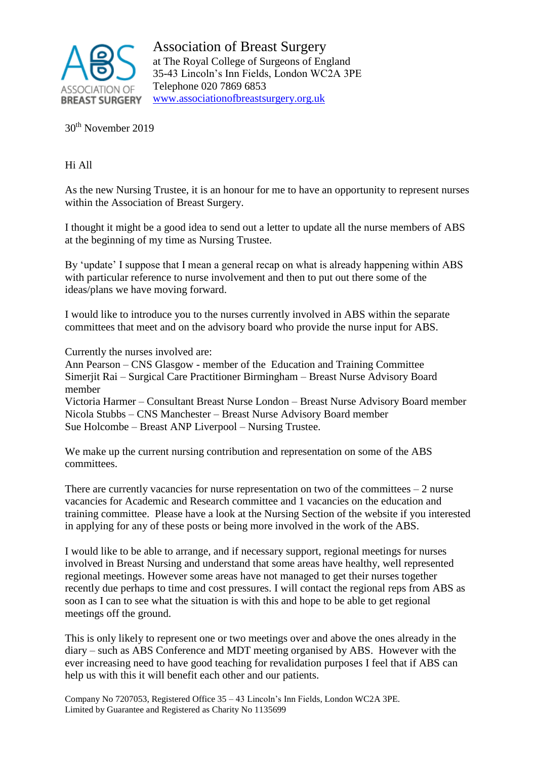

Association of Breast Surgery at The Royal College of Surgeons of England 35-43 Lincoln's Inn Fields, London WC2A 3PE Telephone 020 7869 6853 [www.associationofbreastsurgery.org.uk](http://www.associationofbreastsurgery.org.uk/)

30th November 2019

Hi All

As the new Nursing Trustee, it is an honour for me to have an opportunity to represent nurses within the Association of Breast Surgery.

I thought it might be a good idea to send out a letter to update all the nurse members of ABS at the beginning of my time as Nursing Trustee.

By 'update' I suppose that I mean a general recap on what is already happening within ABS with particular reference to nurse involvement and then to put out there some of the ideas/plans we have moving forward.

I would like to introduce you to the nurses currently involved in ABS within the separate committees that meet and on the advisory board who provide the nurse input for ABS.

Currently the nurses involved are:

Ann Pearson – CNS Glasgow - member of the Education and Training Committee Simerjit Rai – Surgical Care Practitioner Birmingham – Breast Nurse Advisory Board member

Victoria Harmer – Consultant Breast Nurse London – Breast Nurse Advisory Board member Nicola Stubbs – CNS Manchester – Breast Nurse Advisory Board member Sue Holcombe – Breast ANP Liverpool – Nursing Trustee.

We make up the current nursing contribution and representation on some of the ABS committees.

There are currently vacancies for nurse representation on two of the committees  $-2$  nurse vacancies for Academic and Research committee and 1 vacancies on the education and training committee. Please have a look at the Nursing Section of the website if you interested in applying for any of these posts or being more involved in the work of the ABS.

I would like to be able to arrange, and if necessary support, regional meetings for nurses involved in Breast Nursing and understand that some areas have healthy, well represented regional meetings. However some areas have not managed to get their nurses together recently due perhaps to time and cost pressures. I will contact the regional reps from ABS as soon as I can to see what the situation is with this and hope to be able to get regional meetings off the ground.

This is only likely to represent one or two meetings over and above the ones already in the diary – such as ABS Conference and MDT meeting organised by ABS. However with the ever increasing need to have good teaching for revalidation purposes I feel that if ABS can help us with this it will benefit each other and our patients.